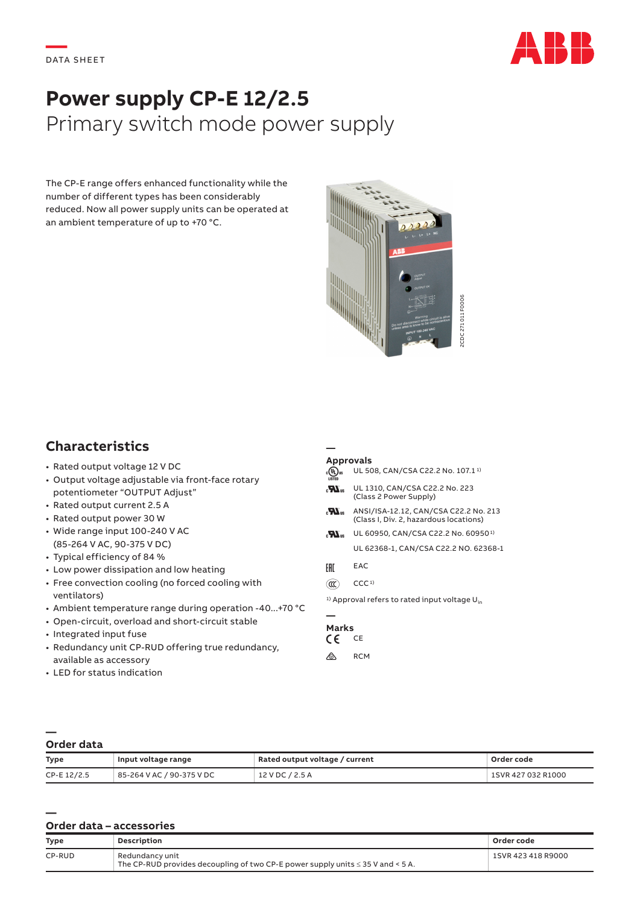

# **Power supply CP-E 12/2.5** Primary switch mode power supply

The CP-E range offers enhanced functionality while the number of different types has been considerably reduced. Now all power supply units can be operated at an ambient temperature of up to +70 °C.



## **Characteristics**

- Rated output voltage 12 V DC
- Output voltage adjustable via front-face rotary potentiometer "OUTPUT Adjust"
- Rated output current 2.5 A
- Rated output power 30 W
- Wide range input 100-240 V AC (85-264 V AC, 90-375 V DC)
- Typical efficiency of 84 %
- Low power dissipation and low heating
- Free convection cooling (no forced cooling with ventilators)
- Ambient temperature range during operation -40...+70 °C
- Open-circuit, overload and short-circuit stable
- Integrated input fuse
- Redundancy unit CP-RUD offering true redundancy, available as accessory
- LED for status indication

### **Approvals**

**—**

|                          | UL 508, CAN/CSA C22.2 No. 107.1 <sup>1)</sup>                                   |
|--------------------------|---------------------------------------------------------------------------------|
| $\mathbf{F}$             | UL 1310, CAN/CSA C22.2 No. 223<br>(Class 2 Power Supply)                        |
| $\mathbf{H}_\mathrm{as}$ | ANSI/ISA-12.12, CAN/CSA C22.2 No. 213<br>(Class I. Div. 2. hazardous locations) |
| $\mathbf{F}$             | UL 60950, CAN/CSA C22.2 No. 60950 <sup>1)</sup>                                 |
|                          | UL 62368-1, CAN/CSA C22.2 NO. 62368-1                                           |
| FAT                      | EAC                                                                             |
|                          | CCC <sub>1</sub>                                                                |

<sup>1)</sup> Approval refers to rated input voltage  $U_{in}$ 

## **—**

#### **Marks**<br>C C C E  $c \in$

 $\otimes$  RCM

#### **— Order data**

**—**

| <b>Type</b> | Input voltage range       | Rated output voltage / current | Order code         |
|-------------|---------------------------|--------------------------------|--------------------|
| CP-E 12/2.5 | 85-264 V AC / 90-375 V DC | 12 V DC / 2.5 A                | 1SVR 427 032 R1000 |

### **Order data – accessories**

| Type   | <b>Description</b>                                                                                      | Order code         |
|--------|---------------------------------------------------------------------------------------------------------|--------------------|
| CP-RUD | Redundancy unit<br>The CP-RUD provides decoupling of two CP-E power supply units $\leq$ 35 V and < 5 A. | 1SVR 423 418 R9000 |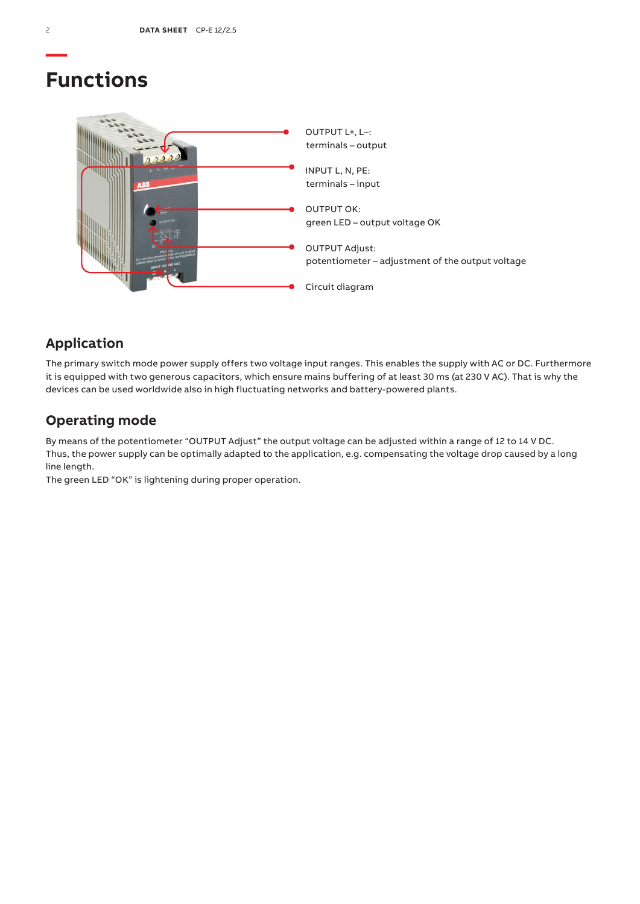## **Functions**



## **Application**

The primary switch mode power supply offers two voltage input ranges. This enables the supply with AC or DC. Furthermore it is equipped with two generous capacitors, which ensure mains buffering of at least 30 ms (at 230 V AC). That is why the devices can be used worldwide also in high fluctuating networks and battery-powered plants.

## **Operating mode**

By means of the potentiometer "OUTPUT Adjust" the output voltage can be adjusted within a range of 12 to 14 V DC. Thus, the power supply can be optimally adapted to the application, e.g. compensating the voltage drop caused by a long line length.

The green LED "OK" is lightening during proper operation.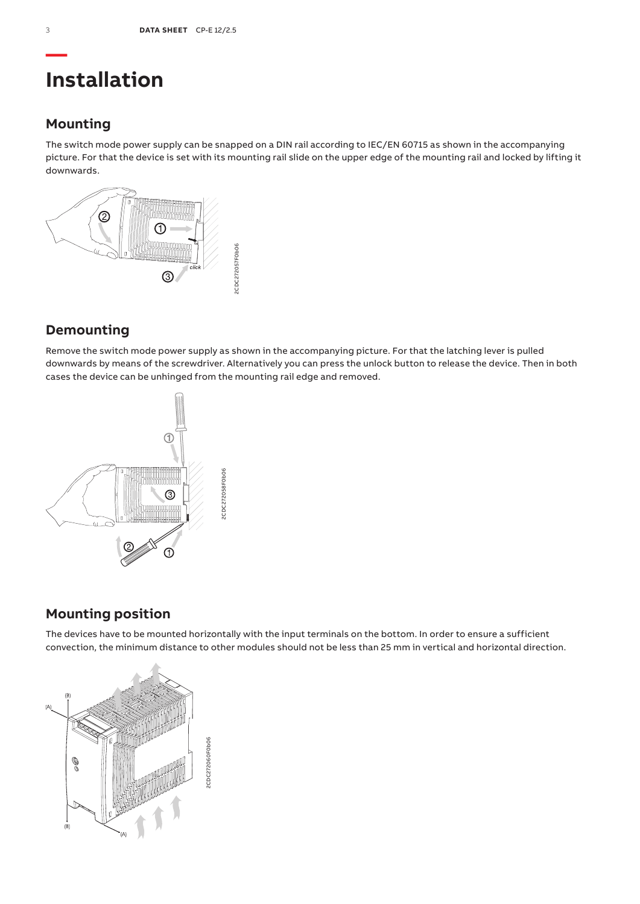## **Installation**

## **Mounting**

The switch mode power supply can be snapped on a DIN rail according to IEC/EN 60715 as shown in the accompanying picture. For that the device is set with its mounting rail slide on the upper edge of the mounting rail and locked by lifting it downwards.



## **Demounting**

Remove the switch mode power supply as shown in the accompanying picture. For that the latching lever is pulled downwards by means of the screwdriver. Alternatively you can press the unlock button to release the device. Then in both cases the device can be unhinged from the mounting rail edge and removed.



## **Mounting position**

The devices have to be mounted horizontally with the input terminals on the bottom. In order to ensure a sufficient convection, the minimum distance to other modules should not be less than 25 mm in vertical and horizontal direction.

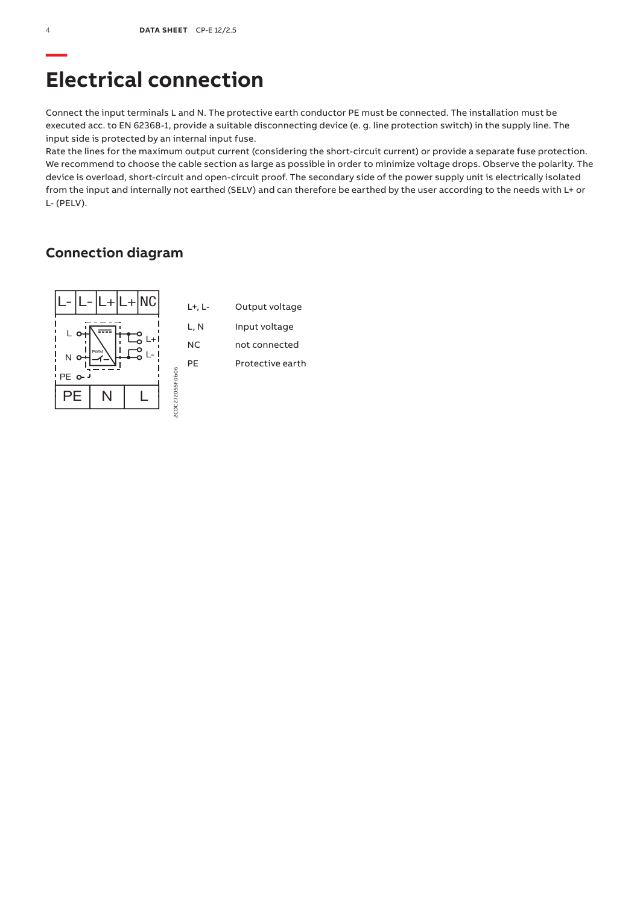## **Electrical connection**

Connect the input terminals L and N. The protective earth conductor PE must be connected. The installation must be executed acc. to EN 62368-1, provide a suitable disconnecting device (e. g. line protection switch) in the supply line. The input side is protected by an internal input fuse.

Rate the lines for the maximum output current (considering the short-circuit current) or provide a separate fuse protection. We recommend to choose the cable section as large as possible in order to minimize voltage drops. Observe the polarity. The device is overload, short-circuit and open-circuit proof. The secondary side of the power supply unit is electrically isolated from the input and internally not earthed (SELV) and can therefore be earthed by the user according to the needs with L+ or L- (PELV).

### **Connection diagram**

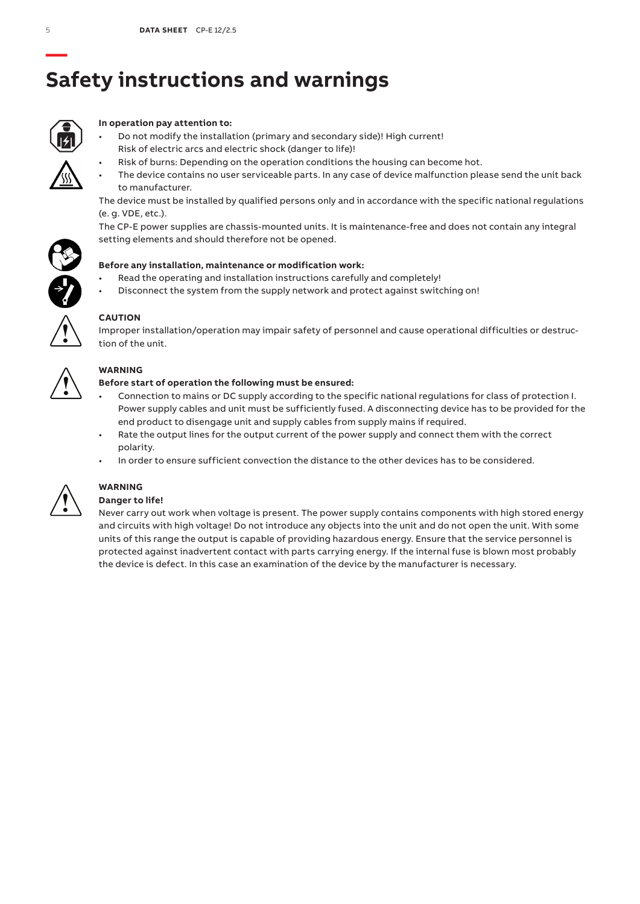# **Safety instructions and warnings**



### **In operation pay attention to:**

- Do not modify the installation (primary and secondary side)! High current! Risk of electric arcs and electric shock (danger to life)!
	- Risk of burns: Depending on the operation conditions the housing can become hot.
- The device contains no user serviceable parts. In any case of device malfunction please send the unit back to manufacturer.

The device must be installed by qualified persons only and in accordance with the specific national regulations (e. g. VDE, etc.).

The CP-E power supplies are chassis-mounted units. It is maintenance-free and does not contain any integral setting elements and should therefore not be opened.



- Read the operating and installation instructions carefully and completely!
- Disconnect the system from the supply network and protect against switching on!



### **CAUTION**

Improper installation/operation may impair safety of personnel and cause operational difficulties or destruction of the unit.



### **WARNING**

### **Before start of operation the following must be ensured:**

- Connection to mains or DC supply according to the specific national regulations for class of protection I. Power supply cables and unit must be sufficiently fused. A disconnecting device has to be provided for the end product to disengage unit and supply cables from supply mains if required.
- Rate the output lines for the output current of the power supply and connect them with the correct polarity.
- In order to ensure sufficient convection the distance to the other devices has to be considered.



## **WARNING**

### **Danger to life!**

Never carry out work when voltage is present. The power supply contains components with high stored energy and circuits with high voltage! Do not introduce any objects into the unit and do not open the unit. With some units of this range the output is capable of providing hazardous energy. Ensure that the service personnel is protected against inadvertent contact with parts carrying energy. If the internal fuse is blown most probably the device is defect. In this case an examination of the device by the manufacturer is necessary.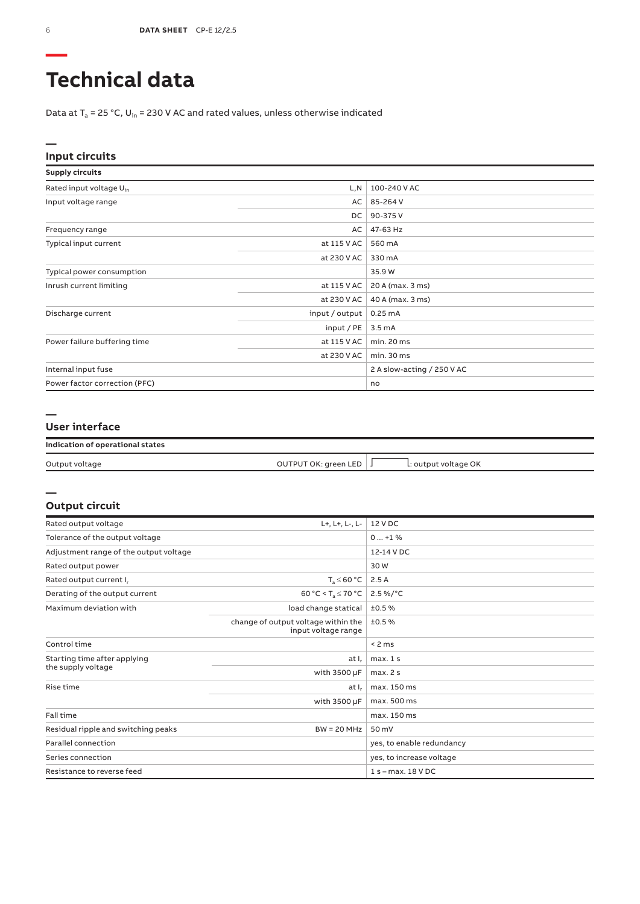# **Technical data**

Data at  $T_a$  = 25 °C, U<sub>in</sub> = 230 V AC and rated values, unless otherwise indicated

### **Input circuits**

| <b>Supply circuits</b>              |                |                            |
|-------------------------------------|----------------|----------------------------|
| Rated input voltage U <sub>in</sub> | L,N            | 100-240 V AC               |
| Input voltage range                 | AC             | 85-264 V                   |
|                                     | DC             | 90-375V                    |
| Frequency range                     | AC             | 47-63 Hz                   |
| Typical input current               | at 115 V AC    | 560 mA                     |
|                                     | at 230 V AC    | 330 mA                     |
| Typical power consumption           |                | 35.9 W                     |
| Inrush current limiting             | at 115 V AC    | 20 A (max. 3 ms)           |
|                                     | at 230 V AC    | 40 A (max. 3 ms)           |
| Discharge current                   | input / output | 0.25mA                     |
|                                     | input / PE     | 3.5 <sub>m</sub> A         |
| Power failure buffering time        | at 115 V AC    | min. 20 ms                 |
|                                     | at 230 V AC    | min.30 ms                  |
| Internal input fuse                 |                | 2 A slow-acting / 250 V AC |
| Power factor correction (PFC)       |                | no                         |

#### **—**

**—**

### **User interface**

### **Indication of operational states**

| Output voltage | OUTPUT OK: green LED | L: output voltage OK |  |
|----------------|----------------------|----------------------|--|
|                |                      |                      |  |

### **Output circuit**

| Rated output voltage                   | L+, L+, L-, L-                                             | 12 V DC                   |
|----------------------------------------|------------------------------------------------------------|---------------------------|
| Tolerance of the output voltage        | $0+1$ %                                                    |                           |
| Adjustment range of the output voltage |                                                            | 12-14 V DC                |
| Rated output power                     |                                                            | 30W                       |
| Rated output current I.                | $T_s \leq 60 °C$                                           | 2.5A                      |
| Derating of the output current         | 60 °C < T <sub>a</sub> $\leq$ 70 °C                        | $2.5\%$ /°C               |
| Maximum deviation with                 | load change statical                                       | ±0.5%                     |
|                                        | change of output voltage within the<br>input voltage range | ±0.5%                     |
| Control time                           |                                                            | < 2 ms                    |
| Starting time after applying           | at I <sub>r</sub>                                          | max.1s                    |
| the supply voltage                     | with 3500 µF                                               | max.2s                    |
| Rise time                              | at $I_r$                                                   | max. 150 ms               |
|                                        | with 3500 µF                                               | max. 500 ms               |
| Fall time                              |                                                            | max. 150 ms               |
| Residual ripple and switching peaks    | $BW = 20 MHz$                                              | 50 mV                     |
| Parallel connection                    |                                                            | yes, to enable redundancy |
| Series connection                      |                                                            | yes, to increase voltage  |
| Resistance to reverse feed             |                                                            | $1 s - max. 18 VDC$       |

**—**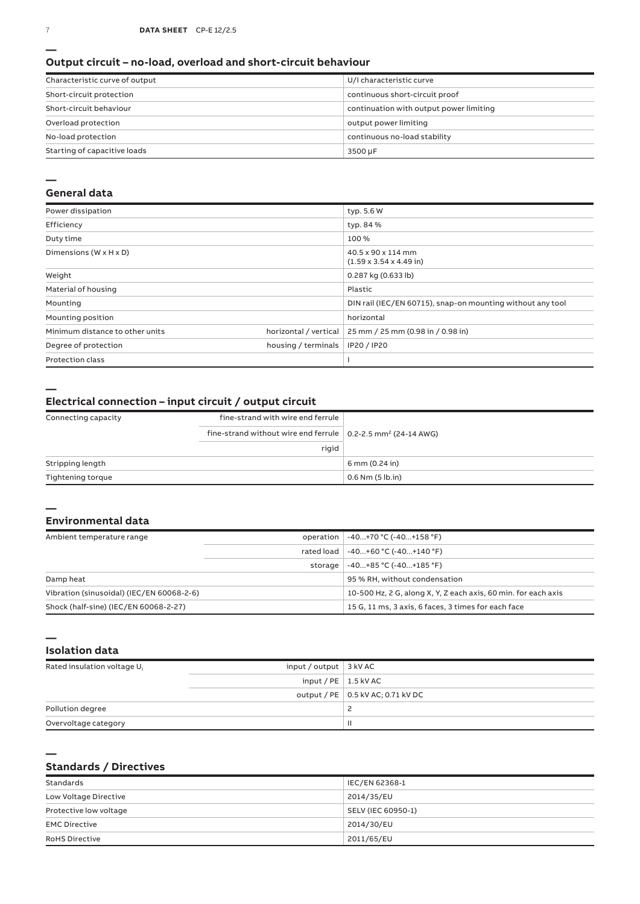### **Output circuit – no-load, overload and short-circuit behaviour**

| Characteristic curve of output | U/I characteristic curve                |
|--------------------------------|-----------------------------------------|
| Short-circuit protection       | continuous short-circuit proof          |
| Short-circuit behaviour        | continuation with output power limiting |
| Overload protection            | output power limiting                   |
| No-load protection             | continuous no-load stability            |
| Starting of capacitive loads   | 3500 µF                                 |

#### **—**

### **General data**

| Power dissipation                    |                       | typ. 5.6 W                                                 |
|--------------------------------------|-----------------------|------------------------------------------------------------|
| Efficiency                           |                       | typ. 84 %                                                  |
| Duty time                            |                       | 100%                                                       |
| Dimensions ( $W \times H \times D$ ) |                       | 40.5 x 90 x 114 mm<br>$(1.59 \times 3.54 \times 4.49)$ in) |
| Weight                               |                       | 0.287 kg (0.633 lb)                                        |
| Material of housing                  |                       | Plastic                                                    |
| Mounting                             |                       | DIN rail (IEC/EN 60715), snap-on mounting without any tool |
| Mounting position                    |                       | horizontal                                                 |
| Minimum distance to other units      | horizontal / vertical | 25 mm / 25 mm (0.98 in / 0.98 in)                          |
| Degree of protection                 | housing / terminals   | IP20 / IP20                                                |
| <b>Protection class</b>              |                       |                                                            |

**—**

### **Electrical connection – input circuit / output circuit**

| Connecting capacity | fine-strand with wire end ferrule                                                |                      |
|---------------------|----------------------------------------------------------------------------------|----------------------|
|                     | fine-strand without wire end ferrule $\vert$ 0.2-2.5 mm <sup>2</sup> (24-14 AWG) |                      |
|                     | rigid                                                                            |                      |
| Stripping length    |                                                                                  | 6 mm (0.24 in)       |
| Tightening torque   |                                                                                  | $0.6$ Nm $(5$ lb.in) |

#### **— Environmental data**

| Ambient temperature range                 |         | operation   -40+70 °C (-40+158 °F)                             |
|-------------------------------------------|---------|----------------------------------------------------------------|
|                                           |         | rated load   -40+60 °C (-40+140 °F)                            |
|                                           | storage | -40+85 °C (-40+185 °F)                                         |
| Damp heat                                 |         | 95 % RH, without condensation                                  |
| Vibration (sinusoidal) (IEC/EN 60068-2-6) |         | 10-500 Hz, 2 G, along X, Y, Z each axis, 60 min. for each axis |
| Shock (half-sine) (IEC/EN 60068-2-27)     |         | 15 G, 11 ms, 3 axis, 6 faces, 3 times for each face            |

**— Isolation data**

**—**

| Rated insulation voltage U <sub>i</sub> | input / output $\vert$ 3 kV AC |                                     |
|-----------------------------------------|--------------------------------|-------------------------------------|
|                                         | input / $PE$   1.5 kV AC       |                                     |
|                                         |                                | output / PE   0.5 kV AC; 0.71 kV DC |
| Pollution degree                        |                                |                                     |
| Overvoltage category                    |                                | Ш                                   |

### **Standards / Directives**

| Standards              | IEC/EN 62368-1     |
|------------------------|--------------------|
| Low Voltage Directive  | 2014/35/EU         |
| Protective low voltage | SELV (IEC 60950-1) |
| <b>EMC Directive</b>   | 2014/30/EU         |
| <b>RoHS Directive</b>  | 2011/65/EU         |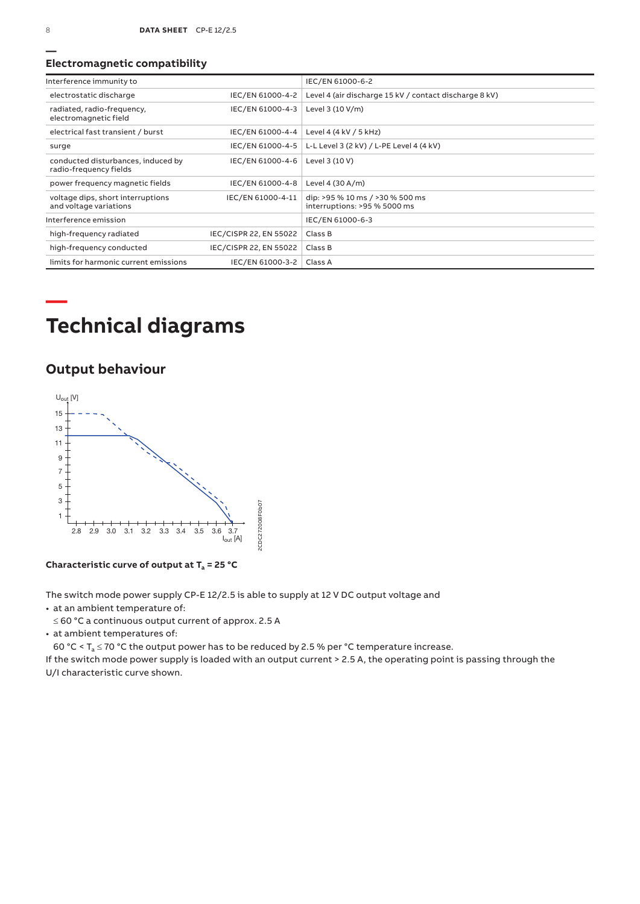### **Electromagnetic compatibility**

| Interference immunity to                                     |                        | IEC/EN 61000-6-2                                                |
|--------------------------------------------------------------|------------------------|-----------------------------------------------------------------|
| electrostatic discharge                                      | IEC/EN 61000-4-2       | Level 4 (air discharge 15 kV / contact discharge 8 kV)          |
| radiated, radio-frequency,<br>electromagnetic field          | IEC/EN 61000-4-3       | Level 3 (10 V/m)                                                |
| electrical fast transient / burst                            | IEC/EN 61000-4-4       | Level 4 (4 kV / 5 kHz)                                          |
| surge                                                        | IEC/EN 61000-4-5       | L-L Level 3 (2 kV) / L-PE Level 4 (4 kV)                        |
| conducted disturbances, induced by<br>radio-frequency fields | IEC/EN 61000-4-6       | Level 3 (10 V)                                                  |
| power frequency magnetic fields                              | IEC/EN 61000-4-8       | Level 4 (30 A/m)                                                |
| voltage dips, short interruptions<br>and voltage variations  | IEC/EN 61000-4-11      | dip: >95 % 10 ms / >30 % 500 ms<br>interruptions: >95 % 5000 ms |
| Interference emission                                        |                        | IEC/EN 61000-6-3                                                |
| high-frequency radiated                                      | IEC/CISPR 22, EN 55022 | Class B                                                         |
| high-frequency conducted                                     | IEC/CISPR 22, EN 55022 | Class B                                                         |
| limits for harmonic current emissions                        | IEC/EN 61000-3-2       | Class A                                                         |

# **Technical diagrams**

## **Output behaviour**



**Characteristic curve of output at Ta = 25 °C**

The switch mode power supply CP-E 12/2.5 is able to supply at 12 V DC output voltage and

• at an ambient temperature of:

≤ 60 °C a continuous output current of approx. 2.5 A

• at ambient temperatures of:

60 °C <  $T_a \le 70$  °C the output power has to be reduced by 2.5 % per °C temperature increase.

If the switch mode power supply is loaded with an output current > 2.5 A, the operating point is passing through the U/I characteristic curve shown.

**—**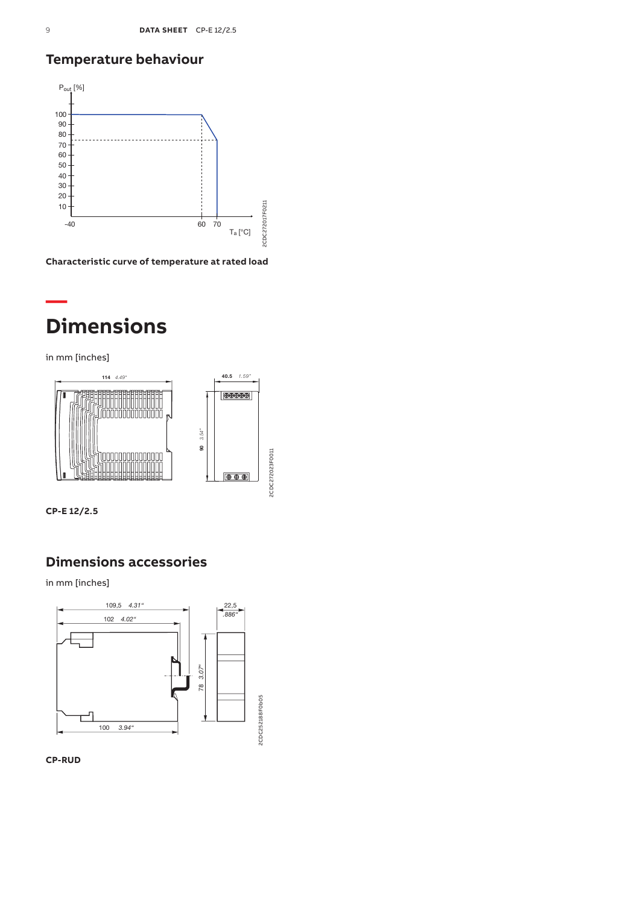## **Temperature behaviour**



**Characteristic curve of temperature at rated load**

## **— Dimensions**

in mm [inches]



**CP-E 12/2.5**

## **Dimensions accessories**

in mm [inches]



**CP-RUD**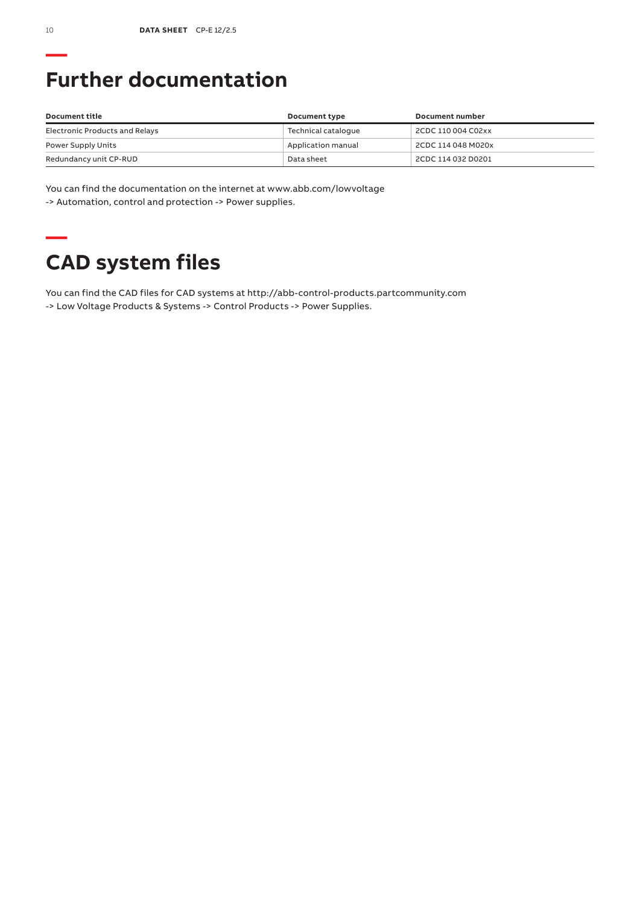# **Further documentation**

| Document title                 | Document type       | Document number    |
|--------------------------------|---------------------|--------------------|
| Electronic Products and Relays | Technical catalogue | 2CDC 110 004 C02xx |
| Power Supply Units             | Application manual  | 2CDC 114 048 M020x |
| Redundancy unit CP-RUD         | Data sheet          | 2CDC 114 032 D0201 |

You can find the documentation on the internet at www.abb.com/lowvoltage -> Automation, control and protection -> Power supplies.

## **— CAD system files**

You can find the CAD files for CAD systems at http://abb-control-products.partcommunity.com -> Low Voltage Products & Systems -> Control Products -> Power Supplies.